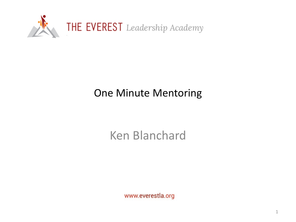

#### One Minute Mentoring

### Ken Blanchard

www.everestla.org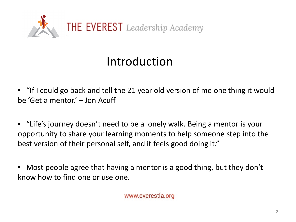

### Introduction

▪ "If I could go back and tell the 21 year old version of me one thing it would be 'Get a mentor.' – Jon Acuff

▪ "Life's journey doesn't need to be a lonely walk. Being a mentor is your opportunity to share your learning moments to help someone step into the best version of their personal self, and it feels good doing it."

▪ Most people agree that having a mentor is a good thing, but they don't know how to find one or use one.

www.everestla.org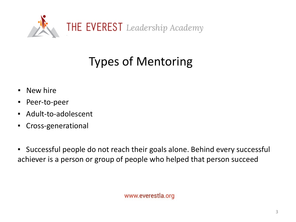

# Types of Mentoring

- **E** New hire
- Peer-to-peer
- Adult-to-adolescent
- Cross-generational
- Successful people do not reach their goals alone. Behind every successful achiever is a person or group of people who helped that person succeed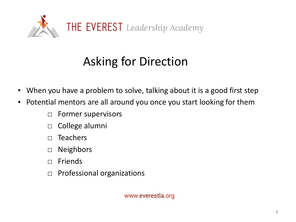

# Asking for Direction

- When you have a problem to solve, talking about it is a good first step
- **Potential mentors are all around you once you start looking for them** 
	- □ Former supervisors
	- □ College alumni
	- $\Box$  Teachers
	- □ Neighbors
	- □ Friends
	- □ Professional organizations

www.everestla.org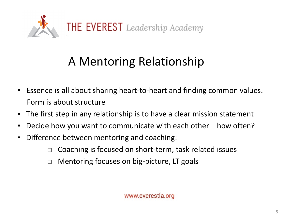

## A Mentoring Relationship

- Essence is all about sharing heart-to-heart and finding common values. Form is about structure
- The first step in any relationship is to have a clear mission statement
- Decide how you want to communicate with each other how often?
- Difference between mentoring and coaching:
	- $\Box$  Coaching is focused on short-term, task related issues
	- □ Mentoring focuses on big-picture, LT goals